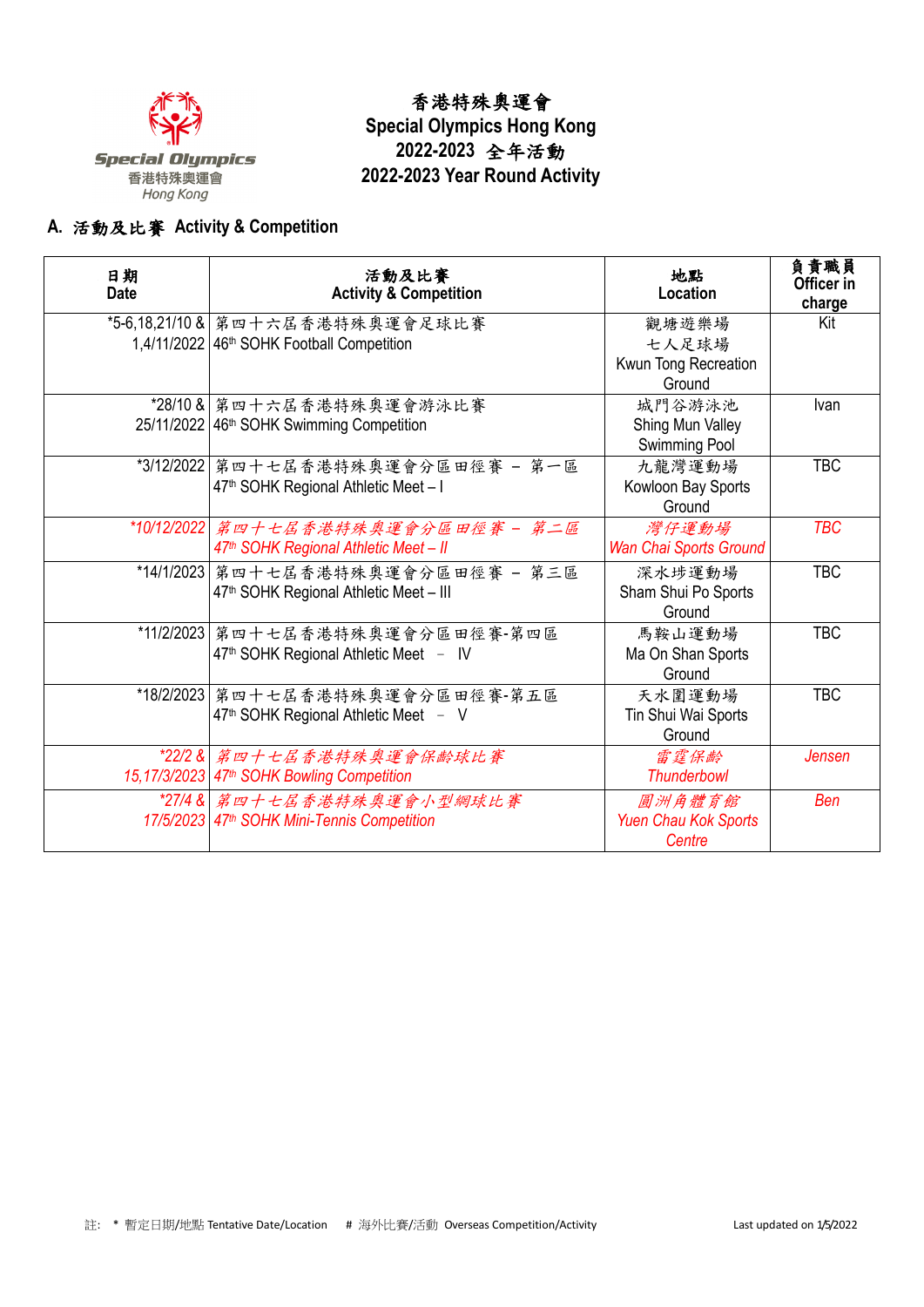

## 香港特殊奧運會 **Special Olympics Hong Kong 2022-2023** 全年活動 **2022-2023 Year Round Activity**

## **A.** 活動及比賽 **Activity & Competition**

| 日期<br><b>Date</b> | 活動及比賽<br><b>Activity &amp; Competition</b>               | 地點<br>Location                | 負責職員<br>Officer in<br>charge |
|-------------------|----------------------------------------------------------|-------------------------------|------------------------------|
|                   | *5-6,18,21/10 & 第四十六屆香港特殊奧運會足球比賽                         | 觀塘遊樂場                         | Kit                          |
|                   | 1,4/11/2022   46 <sup>th</sup> SOHK Football Competition | 七人足球場                         |                              |
|                   |                                                          | Kwun Tong Recreation          |                              |
|                   |                                                          | Ground                        |                              |
|                   | *28/10 & 第四十六屆香港特殊奧運會游泳比賽                                | 城門谷游泳池                        | Ivan                         |
|                   | 25/11/2022 46 <sup>th</sup> SOHK Swimming Competition    | Shing Mun Valley              |                              |
|                   |                                                          | Swimming Pool                 |                              |
|                   | *3/12/2022   第四十七屆香港特殊奧運會分區田徑賽 - 第一區                     | 九龍灣運動場                        | <b>TBC</b>                   |
|                   | 47 <sup>th</sup> SOHK Regional Athletic Meet - I         | Kowloon Bay Sports            |                              |
|                   |                                                          | Ground                        |                              |
|                   | *10/12/2022 第四十七居香港特殊奥運會分區田徑賽 - 第二區                      | 灣仔運動場                         | <b>TBC</b>                   |
|                   | 47 <sup>th</sup> SOHK Regional Athletic Meet - II        | <b>Wan Chai Sports Ground</b> |                              |
|                   | *14/1/2023 第四十七屆香港特殊奧運會分區田徑賽 - 第三區                       | 深水埗運動場                        | <b>TBC</b>                   |
|                   | 47 <sup>th</sup> SOHK Regional Athletic Meet - III       | Sham Shui Po Sports           |                              |
|                   |                                                          | Ground                        |                              |
|                   | *11/2/2023 第四十七屆香港特殊奧運會分區田徑賽-第四區                         | 馬鞍山運動場                        | <b>TBC</b>                   |
|                   | 47 <sup>th</sup> SOHK Regional Athletic Meet - IV        | Ma On Shan Sports             |                              |
|                   |                                                          | Ground                        |                              |
|                   | *18/2/2023   第四十七屆香港特殊奧運會分區田徑賽-第五區                       | 天水圍運動場                        | <b>TBC</b>                   |
|                   | 47 <sup>th</sup> SOHK Regional Athletic Meet - V         | Tin Shui Wai Sports           |                              |
|                   |                                                          | Ground                        |                              |
|                   | *22/2& 第四十七居香港特殊奥運會保龄球比賽                                 | 雷霆保齡                          | Jensen                       |
|                   | 15, 17/3/2023 47 <sup>th</sup> SOHK Bowling Competition  | <b>Thunderbowl</b>            |                              |
|                   | *27/4 & 第四十七居香港特殊奥運會小型網球比賽                               | 圖洲角體育館                        | Ben                          |
|                   | 17/5/2023 47 <sup>th</sup> SOHK Mini-Tennis Competition  | <b>Yuen Chau Kok Sports</b>   |                              |
|                   |                                                          | Centre                        |                              |